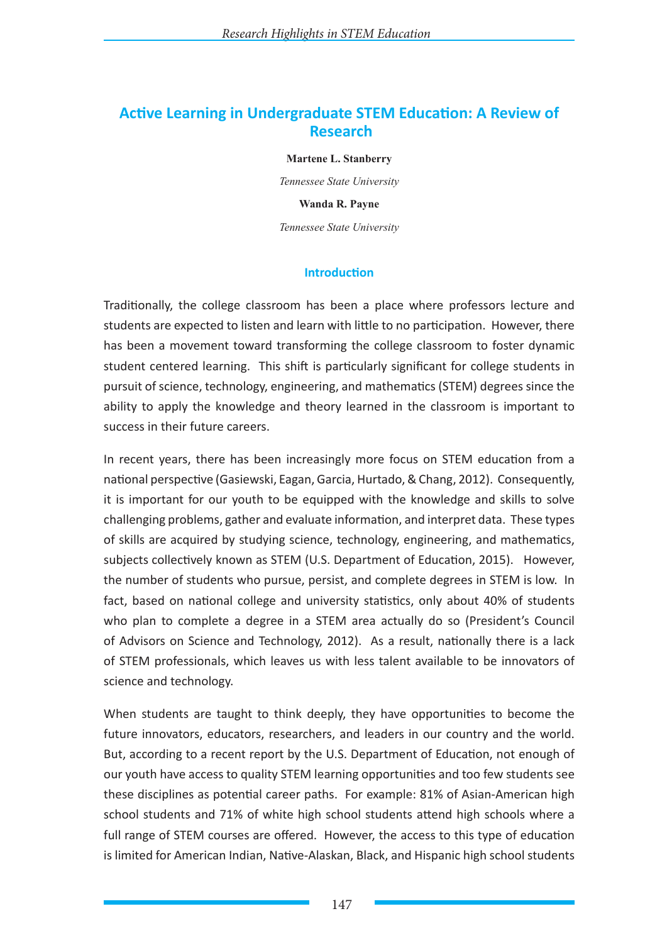# **Active Learning in Undergraduate STEM Education: A Review of Research**

**Martene L. Stanberry**

*Tennessee State University* **Wanda R. Payne**

*Tennessee State University*

### **Introduction**

Traditionally, the college classroom has been a place where professors lecture and students are expected to listen and learn with little to no participation. However, there has been a movement toward transforming the college classroom to foster dynamic student centered learning. This shift is particularly significant for college students in pursuit of science, technology, engineering, and mathematics (STEM) degrees since the ability to apply the knowledge and theory learned in the classroom is important to success in their future careers.

In recent years, there has been increasingly more focus on STEM education from a national perspective (Gasiewski, Eagan, Garcia, Hurtado, & Chang, 2012). Consequently, it is important for our youth to be equipped with the knowledge and skills to solve challenging problems, gather and evaluate information, and interpret data. These types of skills are acquired by studying science, technology, engineering, and mathematics, subjects collectively known as STEM (U.S. Department of Education, 2015). However, the number of students who pursue, persist, and complete degrees in STEM is low. In fact, based on national college and university statistics, only about 40% of students who plan to complete a degree in a STEM area actually do so (President's Council of Advisors on Science and Technology, 2012). As a result, nationally there is a lack of STEM professionals, which leaves us with less talent available to be innovators of science and technology.

When students are taught to think deeply, they have opportunities to become the future innovators, educators, researchers, and leaders in our country and the world. But, according to a recent report by the U.S. Department of Education, not enough of our youth have access to quality STEM learning opportunities and too few students see these disciplines as potential career paths. For example: 81% of Asian-American high school students and 71% of white high school students attend high schools where a full range of STEM courses are offered. However, the access to this type of education is limited for American Indian, Native-Alaskan, Black, and Hispanic high school students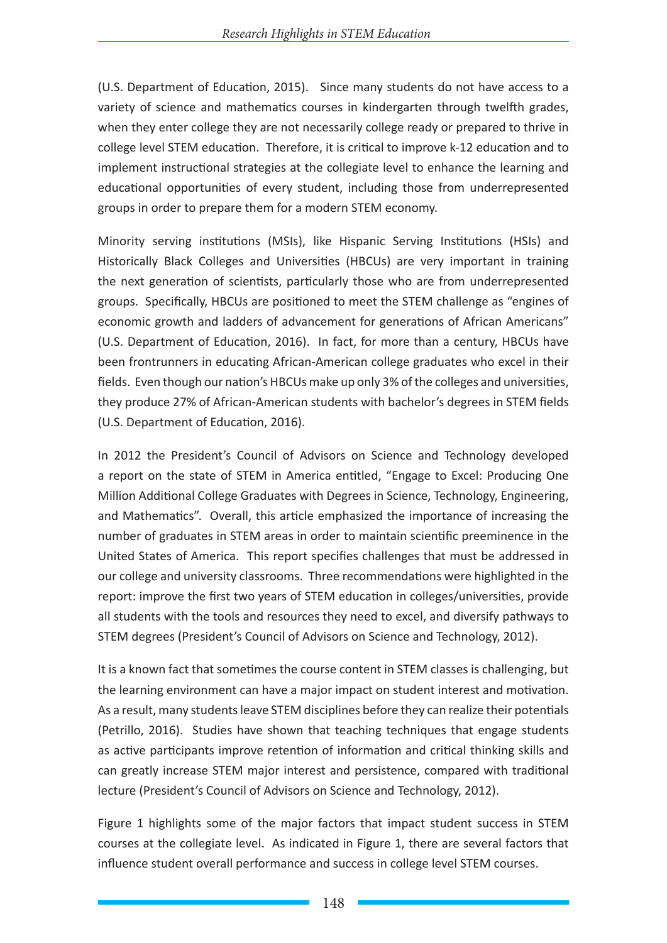(U.S. Department of Education, 2015). Since many students do not have access to a variety of science and mathematics courses in kindergarten through twelfth grades, when they enter college they are not necessarily college ready or prepared to thrive in college level STEM education. Therefore, it is critical to improve k-12 education and to implement instructional strategies at the collegiate level to enhance the learning and educational opportunities of every student, including those from underrepresented groups in order to prepare them for a modern STEM economy.

Minority serving institutions (MSIs), like Hispanic Serving Institutions (HSIs) and Historically Black Colleges and Universities (HBCUs) are very important in training the next generation of scientists, particularly those who are from underrepresented groups. Specifically, HBCUs are positioned to meet the STEM challenge as "engines of economic growth and ladders of advancement for generations of African Americans" (U.S. Department of Education, 2016). In fact, for more than a century, HBCUs have been frontrunners in educating African-American college graduates who excel in their fields. Even though our nation's HBCUs make up only 3% of the colleges and universities, they produce 27% of African-American students with bachelor's degrees in STEM fields (U.S. Department of Education, 2016).

In 2012 the President's Council of Advisors on Science and Technology developed a report on the state of STEM in America entitled, "Engage to Excel: Producing One Million Additional College Graduates with Degrees in Science, Technology, Engineering, and Mathematics". Overall, this article emphasized the importance of increasing the number of graduates in STEM areas in order to maintain scientific preeminence in the United States of America. This report specifies challenges that must be addressed in our college and university classrooms. Three recommendations were highlighted in the report: improve the first two years of STEM education in colleges/universities, provide all students with the tools and resources they need to excel, and diversify pathways to STEM degrees (President's Council of Advisors on Science and Technology, 2012).

It is a known fact that sometimes the course content in STEM classes is challenging, but the learning environment can have a major impact on student interest and motivation. As a result, many students leave STEM disciplines before they can realize their potentials (Petrillo, 2016). Studies have shown that teaching techniques that engage students as active participants improve retention of information and critical thinking skills and can greatly increase STEM major interest and persistence, compared with traditional lecture (President's Council of Advisors on Science and Technology, 2012).

Figure 1 highlights some of the major factors that impact student success in STEM courses at the collegiate level. As indicated in Figure 1, there are several factors that influence student overall performance and success in college level STEM courses.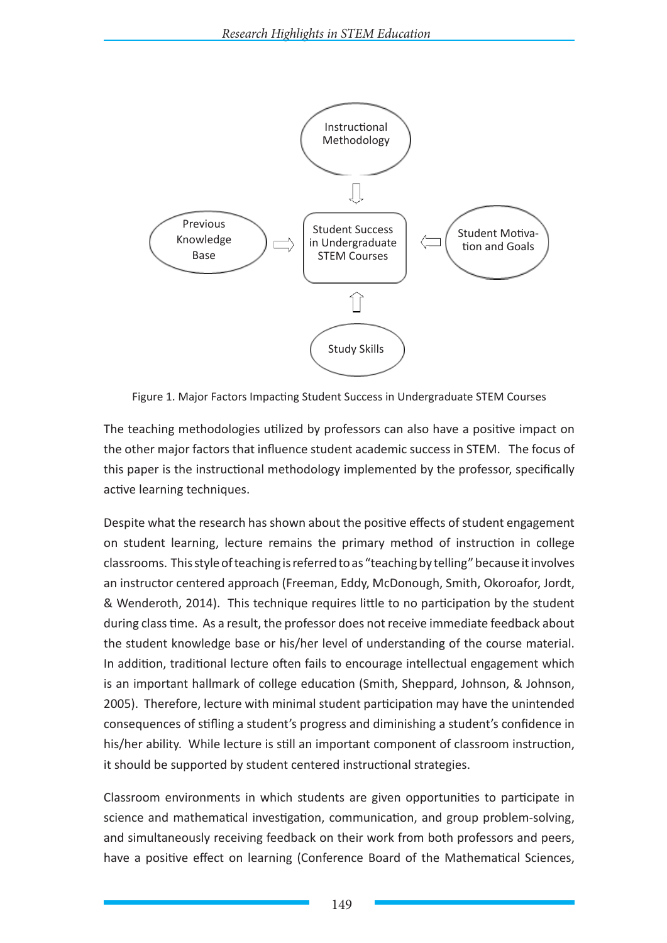

Figure 1. Major Factors Impacting Student Success in Undergraduate STEM Courses

The teaching methodologies utilized by professors can also have a positive impact on the other major factors that influence student academic success in STEM. The focus of this paper is the instructional methodology implemented by the professor, specifically active learning techniques.

Despite what the research has shown about the positive effects of student engagement on student learning, lecture remains the primary method of instruction in college classrooms. This style of teaching is referred to as "teaching by telling" because it involves an instructor centered approach (Freeman, Eddy, McDonough, Smith, Okoroafor, Jordt, & Wenderoth, 2014). This technique requires little to no participation by the student during class time. As a result, the professor does not receive immediate feedback about the student knowledge base or his/her level of understanding of the course material. In addition, traditional lecture often fails to encourage intellectual engagement which is an important hallmark of college education (Smith, Sheppard, Johnson, & Johnson, 2005). Therefore, lecture with minimal student participation may have the unintended consequences of stifling a student's progress and diminishing a student's confidence in his/her ability. While lecture is still an important component of classroom instruction, it should be supported by student centered instructional strategies.

Classroom environments in which students are given opportunities to participate in science and mathematical investigation, communication, and group problem-solving, and simultaneously receiving feedback on their work from both professors and peers, have a positive effect on learning (Conference Board of the Mathematical Sciences,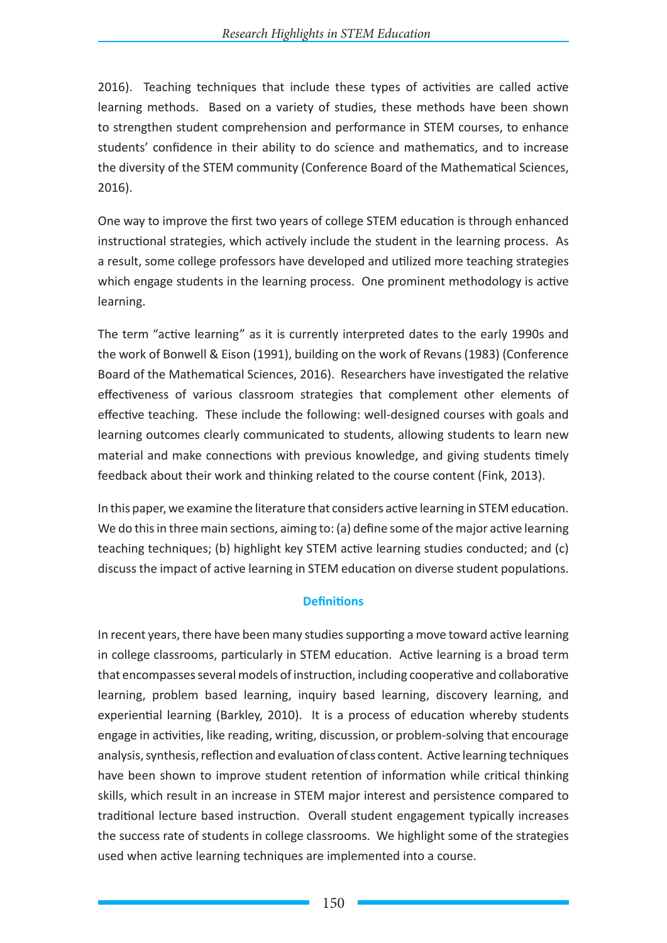2016). Teaching techniques that include these types of activities are called active learning methods. Based on a variety of studies, these methods have been shown to strengthen student comprehension and performance in STEM courses, to enhance students' confidence in their ability to do science and mathematics, and to increase the diversity of the STEM community (Conference Board of the Mathematical Sciences, 2016).

One way to improve the first two years of college STEM education is through enhanced instructional strategies, which actively include the student in the learning process. As a result, some college professors have developed and utilized more teaching strategies which engage students in the learning process. One prominent methodology is active learning.

The term "active learning" as it is currently interpreted dates to the early 1990s and the work of Bonwell & Eison (1991), building on the work of Revans (1983) (Conference Board of the Mathematical Sciences, 2016). Researchers have investigated the relative effectiveness of various classroom strategies that complement other elements of effective teaching. These include the following: well-designed courses with goals and learning outcomes clearly communicated to students, allowing students to learn new material and make connections with previous knowledge, and giving students timely feedback about their work and thinking related to the course content (Fink, 2013).

In this paper, we examine the literature that considers active learning in STEM education. We do this in three main sections, aiming to: (a) define some of the major active learning teaching techniques; (b) highlight key STEM active learning studies conducted; and (c) discuss the impact of active learning in STEM education on diverse student populations.

### **Definitions**

In recent years, there have been many studies supporting a move toward active learning in college classrooms, particularly in STEM education. Active learning is a broad term that encompasses several models of instruction, including cooperative and collaborative learning, problem based learning, inquiry based learning, discovery learning, and experiential learning (Barkley, 2010). It is a process of education whereby students engage in activities, like reading, writing, discussion, or problem-solving that encourage analysis, synthesis, reflection and evaluation of class content. Active learning techniques have been shown to improve student retention of information while critical thinking skills, which result in an increase in STEM major interest and persistence compared to traditional lecture based instruction. Overall student engagement typically increases the success rate of students in college classrooms. We highlight some of the strategies used when active learning techniques are implemented into a course.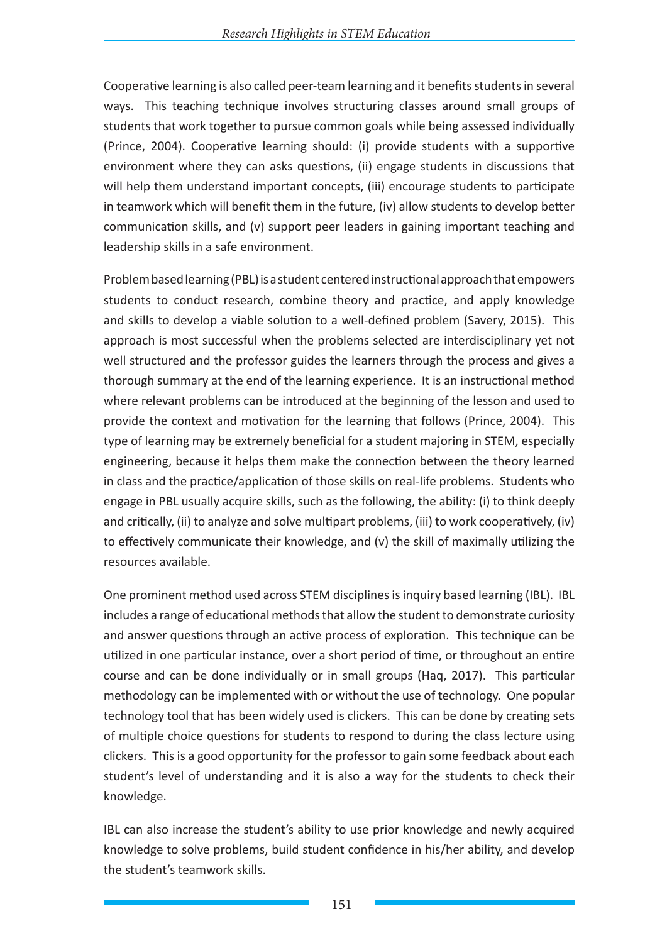Cooperative learning is also called peer-team learning and it benefits students in several ways. This teaching technique involves structuring classes around small groups of students that work together to pursue common goals while being assessed individually (Prince, 2004). Cooperative learning should: (i) provide students with a supportive environment where they can asks questions, (ii) engage students in discussions that will help them understand important concepts, (iii) encourage students to participate in teamwork which will benefit them in the future, (iv) allow students to develop better communication skills, and (v) support peer leaders in gaining important teaching and leadership skills in a safe environment.

Problem based learning (PBL) is a student centered instructional approach that empowers students to conduct research, combine theory and practice, and apply knowledge and skills to develop a viable solution to a well-defined problem (Savery, 2015). This approach is most successful when the problems selected are interdisciplinary yet not well structured and the professor guides the learners through the process and gives a thorough summary at the end of the learning experience. It is an instructional method where relevant problems can be introduced at the beginning of the lesson and used to provide the context and motivation for the learning that follows (Prince, 2004). This type of learning may be extremely beneficial for a student majoring in STEM, especially engineering, because it helps them make the connection between the theory learned in class and the practice/application of those skills on real-life problems. Students who engage in PBL usually acquire skills, such as the following, the ability: (i) to think deeply and critically, (ii) to analyze and solve multipart problems, (iii) to work cooperatively, (iv) to effectively communicate their knowledge, and (v) the skill of maximally utilizing the resources available.

One prominent method used across STEM disciplines is inquiry based learning (IBL). IBL includes a range of educational methods that allow the student to demonstrate curiosity and answer questions through an active process of exploration. This technique can be utilized in one particular instance, over a short period of time, or throughout an entire course and can be done individually or in small groups (Haq, 2017). This particular methodology can be implemented with or without the use of technology. One popular technology tool that has been widely used is clickers. This can be done by creating sets of multiple choice questions for students to respond to during the class lecture using clickers. This is a good opportunity for the professor to gain some feedback about each student's level of understanding and it is also a way for the students to check their knowledge.

IBL can also increase the student's ability to use prior knowledge and newly acquired knowledge to solve problems, build student confidence in his/her ability, and develop the student's teamwork skills.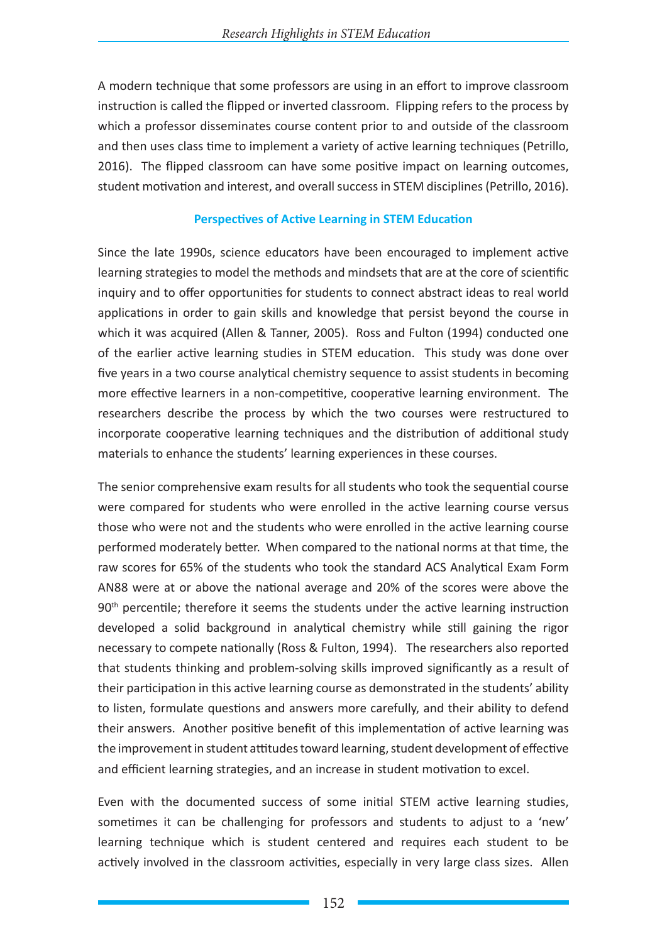A modern technique that some professors are using in an effort to improve classroom instruction is called the flipped or inverted classroom. Flipping refers to the process by which a professor disseminates course content prior to and outside of the classroom and then uses class time to implement a variety of active learning techniques (Petrillo, 2016). The flipped classroom can have some positive impact on learning outcomes, student motivation and interest, and overall success in STEM disciplines (Petrillo, 2016).

#### **Perspectives of Active Learning in STEM Education**

Since the late 1990s, science educators have been encouraged to implement active learning strategies to model the methods and mindsets that are at the core of scientific inquiry and to offer opportunities for students to connect abstract ideas to real world applications in order to gain skills and knowledge that persist beyond the course in which it was acquired (Allen & Tanner, 2005). Ross and Fulton (1994) conducted one of the earlier active learning studies in STEM education. This study was done over five years in a two course analytical chemistry sequence to assist students in becoming more effective learners in a non-competitive, cooperative learning environment. The researchers describe the process by which the two courses were restructured to incorporate cooperative learning techniques and the distribution of additional study materials to enhance the students' learning experiences in these courses.

The senior comprehensive exam results for all students who took the sequential course were compared for students who were enrolled in the active learning course versus those who were not and the students who were enrolled in the active learning course performed moderately better. When compared to the national norms at that time, the raw scores for 65% of the students who took the standard ACS Analytical Exam Form AN88 were at or above the national average and 20% of the scores were above the 90<sup>th</sup> percentile; therefore it seems the students under the active learning instruction developed a solid background in analytical chemistry while still gaining the rigor necessary to compete nationally (Ross & Fulton, 1994). The researchers also reported that students thinking and problem-solving skills improved significantly as a result of their participation in this active learning course as demonstrated in the students' ability to listen, formulate questions and answers more carefully, and their ability to defend their answers. Another positive benefit of this implementation of active learning was the improvement in student attitudes toward learning, student development of effective and efficient learning strategies, and an increase in student motivation to excel.

Even with the documented success of some initial STEM active learning studies, sometimes it can be challenging for professors and students to adjust to a 'new' learning technique which is student centered and requires each student to be actively involved in the classroom activities, especially in very large class sizes. Allen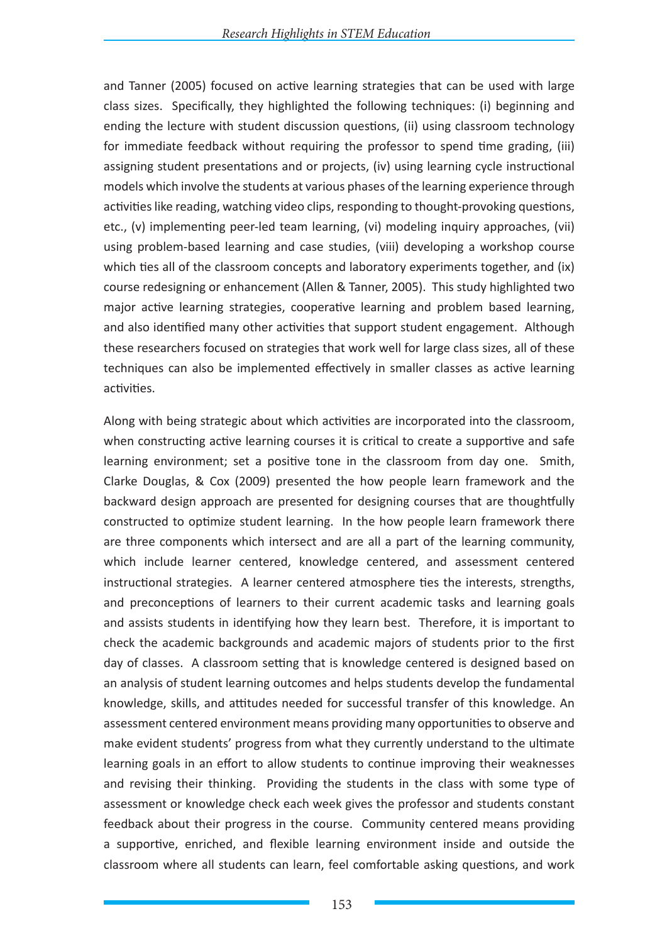and Tanner (2005) focused on active learning strategies that can be used with large class sizes. Specifically, they highlighted the following techniques: (i) beginning and ending the lecture with student discussion questions, (ii) using classroom technology for immediate feedback without requiring the professor to spend time grading, (iii) assigning student presentations and or projects, (iv) using learning cycle instructional models which involve the students at various phases of the learning experience through activities like reading, watching video clips, responding to thought-provoking questions, etc., (v) implementing peer-led team learning, (vi) modeling inquiry approaches, (vii) using problem-based learning and case studies, (viii) developing a workshop course which ties all of the classroom concepts and laboratory experiments together, and (ix) course redesigning or enhancement (Allen & Tanner, 2005). This study highlighted two major active learning strategies, cooperative learning and problem based learning, and also identified many other activities that support student engagement. Although these researchers focused on strategies that work well for large class sizes, all of these techniques can also be implemented effectively in smaller classes as active learning activities.

Along with being strategic about which activities are incorporated into the classroom, when constructing active learning courses it is critical to create a supportive and safe learning environment; set a positive tone in the classroom from day one. Smith, Clarke Douglas, & Cox (2009) presented the how people learn framework and the backward design approach are presented for designing courses that are thoughtfully constructed to optimize student learning. In the how people learn framework there are three components which intersect and are all a part of the learning community, which include learner centered, knowledge centered, and assessment centered instructional strategies. A learner centered atmosphere ties the interests, strengths, and preconceptions of learners to their current academic tasks and learning goals and assists students in identifying how they learn best. Therefore, it is important to check the academic backgrounds and academic majors of students prior to the first day of classes. A classroom setting that is knowledge centered is designed based on an analysis of student learning outcomes and helps students develop the fundamental knowledge, skills, and attitudes needed for successful transfer of this knowledge. An assessment centered environment means providing many opportunities to observe and make evident students' progress from what they currently understand to the ultimate learning goals in an effort to allow students to continue improving their weaknesses and revising their thinking. Providing the students in the class with some type of assessment or knowledge check each week gives the professor and students constant feedback about their progress in the course. Community centered means providing a supportive, enriched, and flexible learning environment inside and outside the classroom where all students can learn, feel comfortable asking questions, and work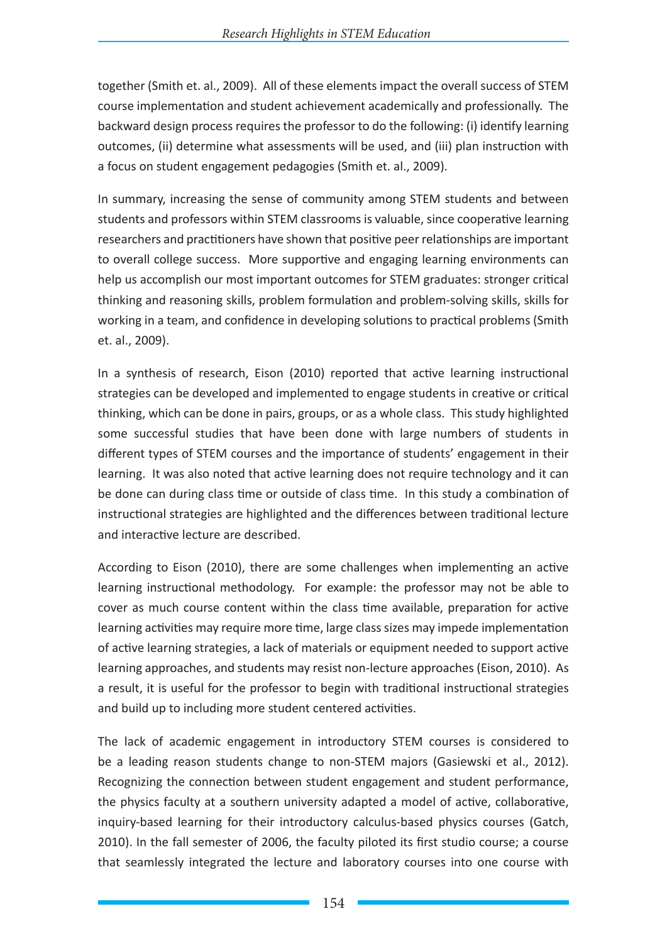together (Smith et. al., 2009). All of these elements impact the overall success of STEM course implementation and student achievement academically and professionally. The backward design process requires the professor to do the following: (i) identify learning outcomes, (ii) determine what assessments will be used, and (iii) plan instruction with a focus on student engagement pedagogies (Smith et. al., 2009).

In summary, increasing the sense of community among STEM students and between students and professors within STEM classrooms is valuable, since cooperative learning researchers and practitioners have shown that positive peer relationships are important to overall college success. More supportive and engaging learning environments can help us accomplish our most important outcomes for STEM graduates: stronger critical thinking and reasoning skills, problem formulation and problem-solving skills, skills for working in a team, and confidence in developing solutions to practical problems (Smith et. al., 2009).

In a synthesis of research, Eison (2010) reported that active learning instructional strategies can be developed and implemented to engage students in creative or critical thinking, which can be done in pairs, groups, or as a whole class. This study highlighted some successful studies that have been done with large numbers of students in different types of STEM courses and the importance of students' engagement in their learning. It was also noted that active learning does not require technology and it can be done can during class time or outside of class time. In this study a combination of instructional strategies are highlighted and the differences between traditional lecture and interactive lecture are described.

According to Eison (2010), there are some challenges when implementing an active learning instructional methodology. For example: the professor may not be able to cover as much course content within the class time available, preparation for active learning activities may require more time, large class sizes may impede implementation of active learning strategies, a lack of materials or equipment needed to support active learning approaches, and students may resist non-lecture approaches (Eison, 2010). As a result, it is useful for the professor to begin with traditional instructional strategies and build up to including more student centered activities.

The lack of academic engagement in introductory STEM courses is considered to be a leading reason students change to non-STEM majors (Gasiewski et al., 2012). Recognizing the connection between student engagement and student performance, the physics faculty at a southern university adapted a model of active, collaborative, inquiry-based learning for their introductory calculus-based physics courses (Gatch, 2010). In the fall semester of 2006, the faculty piloted its first studio course; a course that seamlessly integrated the lecture and laboratory courses into one course with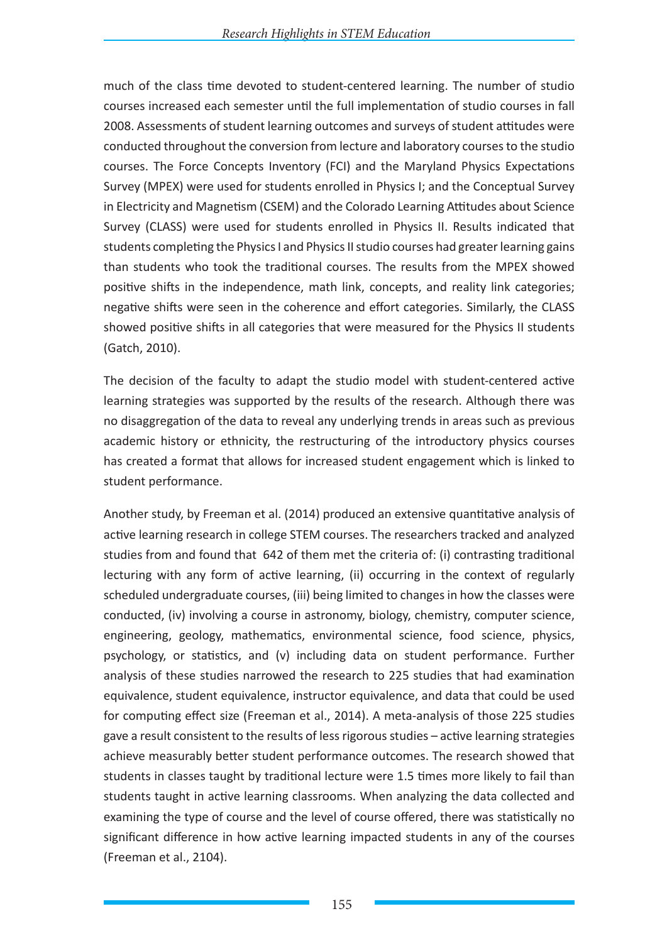much of the class time devoted to student-centered learning. The number of studio courses increased each semester until the full implementation of studio courses in fall 2008. Assessments of student learning outcomes and surveys of student attitudes were conducted throughout the conversion from lecture and laboratory courses to the studio courses. The Force Concepts Inventory (FCI) and the Maryland Physics Expectations Survey (MPEX) were used for students enrolled in Physics I; and the Conceptual Survey in Electricity and Magnetism (CSEM) and the Colorado Learning Attitudes about Science Survey (CLASS) were used for students enrolled in Physics II. Results indicated that students completing the Physics I and Physics II studio courses had greater learning gains than students who took the traditional courses. The results from the MPEX showed positive shifts in the independence, math link, concepts, and reality link categories; negative shifts were seen in the coherence and effort categories. Similarly, the CLASS showed positive shifts in all categories that were measured for the Physics II students (Gatch, 2010).

The decision of the faculty to adapt the studio model with student-centered active learning strategies was supported by the results of the research. Although there was no disaggregation of the data to reveal any underlying trends in areas such as previous academic history or ethnicity, the restructuring of the introductory physics courses has created a format that allows for increased student engagement which is linked to student performance.

Another study, by Freeman et al. (2014) produced an extensive quantitative analysis of active learning research in college STEM courses. The researchers tracked and analyzed studies from and found that 642 of them met the criteria of: (i) contrasting traditional lecturing with any form of active learning, (ii) occurring in the context of regularly scheduled undergraduate courses, (iii) being limited to changes in how the classes were conducted, (iv) involving a course in astronomy, biology, chemistry, computer science, engineering, geology, mathematics, environmental science, food science, physics, psychology, or statistics, and (v) including data on student performance. Further analysis of these studies narrowed the research to 225 studies that had examination equivalence, student equivalence, instructor equivalence, and data that could be used for computing effect size (Freeman et al., 2014). A meta-analysis of those 225 studies gave a result consistent to the results of less rigorous studies – active learning strategies achieve measurably better student performance outcomes. The research showed that students in classes taught by traditional lecture were 1.5 times more likely to fail than students taught in active learning classrooms. When analyzing the data collected and examining the type of course and the level of course offered, there was statistically no significant difference in how active learning impacted students in any of the courses (Freeman et al., 2104).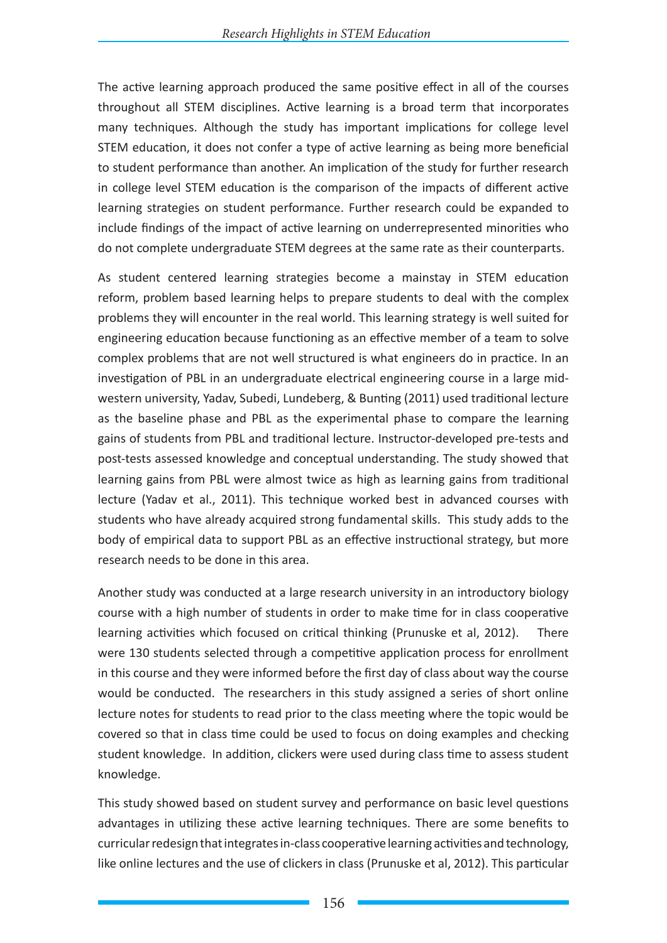The active learning approach produced the same positive effect in all of the courses throughout all STEM disciplines. Active learning is a broad term that incorporates many techniques. Although the study has important implications for college level STEM education, it does not confer a type of active learning as being more beneficial to student performance than another. An implication of the study for further research in college level STEM education is the comparison of the impacts of different active learning strategies on student performance. Further research could be expanded to include findings of the impact of active learning on underrepresented minorities who do not complete undergraduate STEM degrees at the same rate as their counterparts.

As student centered learning strategies become a mainstay in STEM education reform, problem based learning helps to prepare students to deal with the complex problems they will encounter in the real world. This learning strategy is well suited for engineering education because functioning as an effective member of a team to solve complex problems that are not well structured is what engineers do in practice. In an investigation of PBL in an undergraduate electrical engineering course in a large midwestern university, Yadav, Subedi, Lundeberg, & Bunting (2011) used traditional lecture as the baseline phase and PBL as the experimental phase to compare the learning gains of students from PBL and traditional lecture. Instructor-developed pre-tests and post-tests assessed knowledge and conceptual understanding. The study showed that learning gains from PBL were almost twice as high as learning gains from traditional lecture (Yadav et al., 2011). This technique worked best in advanced courses with students who have already acquired strong fundamental skills. This study adds to the body of empirical data to support PBL as an effective instructional strategy, but more research needs to be done in this area.

Another study was conducted at a large research university in an introductory biology course with a high number of students in order to make time for in class cooperative learning activities which focused on critical thinking (Prunuske et al, 2012). There were 130 students selected through a competitive application process for enrollment in this course and they were informed before the first day of class about way the course would be conducted. The researchers in this study assigned a series of short online lecture notes for students to read prior to the class meeting where the topic would be covered so that in class time could be used to focus on doing examples and checking student knowledge. In addition, clickers were used during class time to assess student knowledge.

This study showed based on student survey and performance on basic level questions advantages in utilizing these active learning techniques. There are some benefits to curricular redesign that integrates in-class cooperative learning activities and technology, like online lectures and the use of clickers in class (Prunuske et al, 2012). This particular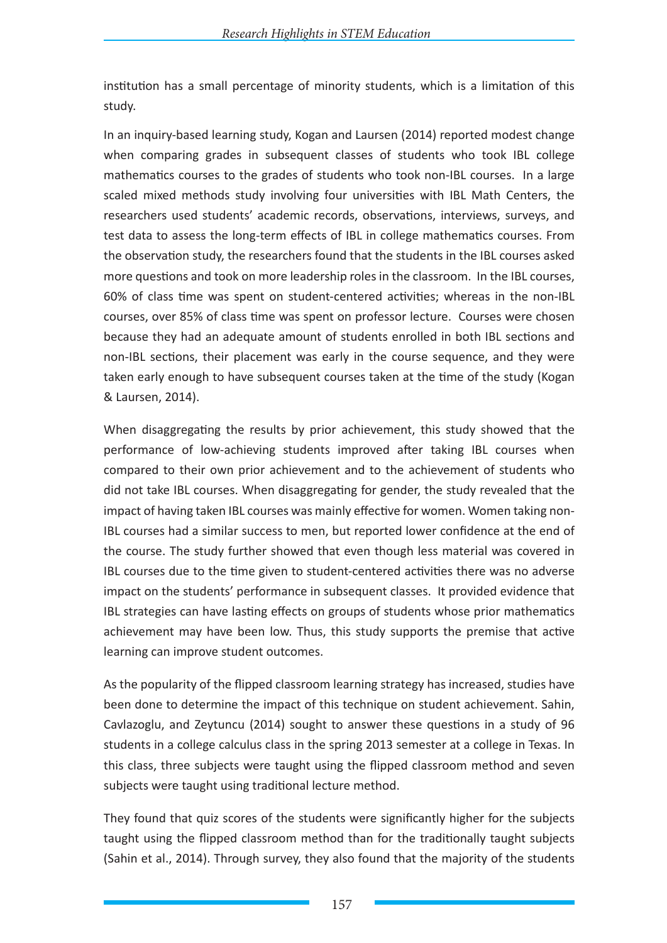institution has a small percentage of minority students, which is a limitation of this study.

In an inquiry-based learning study, Kogan and Laursen (2014) reported modest change when comparing grades in subsequent classes of students who took IBL college mathematics courses to the grades of students who took non-IBL courses. In a large scaled mixed methods study involving four universities with IBL Math Centers, the researchers used students' academic records, observations, interviews, surveys, and test data to assess the long-term effects of IBL in college mathematics courses. From the observation study, the researchers found that the students in the IBL courses asked more questions and took on more leadership roles in the classroom. In the IBL courses, 60% of class time was spent on student-centered activities; whereas in the non-IBL courses, over 85% of class time was spent on professor lecture. Courses were chosen because they had an adequate amount of students enrolled in both IBL sections and non-IBL sections, their placement was early in the course sequence, and they were taken early enough to have subsequent courses taken at the time of the study (Kogan & Laursen, 2014).

When disaggregating the results by prior achievement, this study showed that the performance of low-achieving students improved after taking IBL courses when compared to their own prior achievement and to the achievement of students who did not take IBL courses. When disaggregating for gender, the study revealed that the impact of having taken IBL courses was mainly effective for women. Women taking non-IBL courses had a similar success to men, but reported lower confidence at the end of the course. The study further showed that even though less material was covered in IBL courses due to the time given to student-centered activities there was no adverse impact on the students' performance in subsequent classes. It provided evidence that IBL strategies can have lasting effects on groups of students whose prior mathematics achievement may have been low. Thus, this study supports the premise that active learning can improve student outcomes.

As the popularity of the flipped classroom learning strategy has increased, studies have been done to determine the impact of this technique on student achievement. Sahin, Cavlazoglu, and Zeytuncu (2014) sought to answer these questions in a study of 96 students in a college calculus class in the spring 2013 semester at a college in Texas. In this class, three subjects were taught using the flipped classroom method and seven subjects were taught using traditional lecture method.

They found that quiz scores of the students were significantly higher for the subjects taught using the flipped classroom method than for the traditionally taught subjects (Sahin et al., 2014). Through survey, they also found that the majority of the students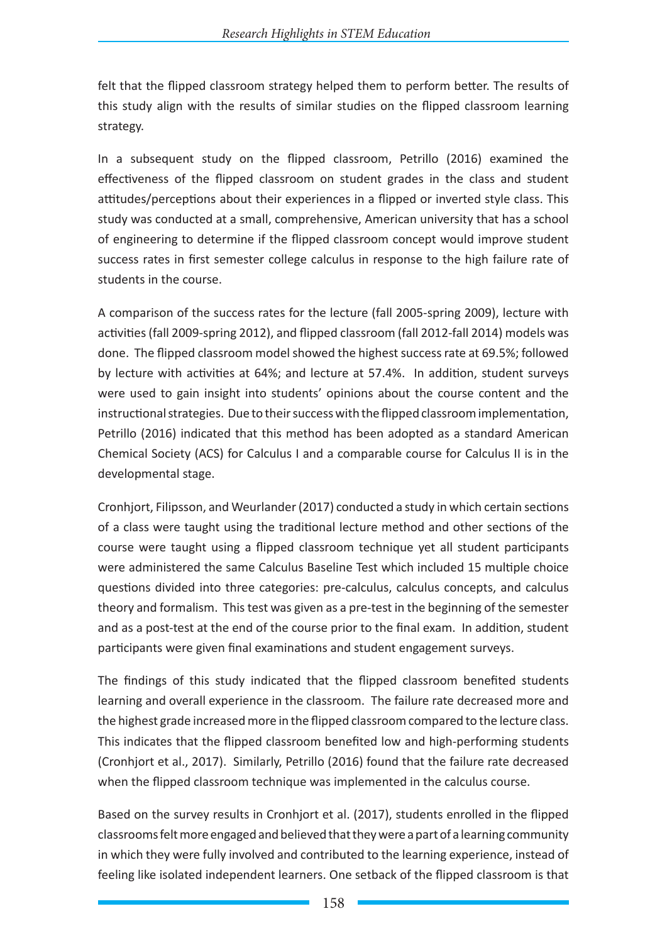felt that the flipped classroom strategy helped them to perform better. The results of this study align with the results of similar studies on the flipped classroom learning strategy.

In a subsequent study on the flipped classroom, Petrillo (2016) examined the effectiveness of the flipped classroom on student grades in the class and student attitudes/perceptions about their experiences in a flipped or inverted style class. This study was conducted at a small, comprehensive, American university that has a school of engineering to determine if the flipped classroom concept would improve student success rates in first semester college calculus in response to the high failure rate of students in the course.

A comparison of the success rates for the lecture (fall 2005-spring 2009), lecture with activities (fall 2009-spring 2012), and flipped classroom (fall 2012-fall 2014) models was done. The flipped classroom model showed the highest success rate at 69.5%; followed by lecture with activities at 64%; and lecture at 57.4%. In addition, student surveys were used to gain insight into students' opinions about the course content and the instructional strategies. Due to their success with the flipped classroom implementation, Petrillo (2016) indicated that this method has been adopted as a standard American Chemical Society (ACS) for Calculus I and a comparable course for Calculus II is in the developmental stage.

Cronhjort, Filipsson, and Weurlander (2017) conducted a study in which certain sections of a class were taught using the traditional lecture method and other sections of the course were taught using a flipped classroom technique yet all student participants were administered the same Calculus Baseline Test which included 15 multiple choice questions divided into three categories: pre-calculus, calculus concepts, and calculus theory and formalism. This test was given as a pre-test in the beginning of the semester and as a post-test at the end of the course prior to the final exam. In addition, student participants were given final examinations and student engagement surveys.

The findings of this study indicated that the flipped classroom benefited students learning and overall experience in the classroom. The failure rate decreased more and the highest grade increased more in the flipped classroom compared to the lecture class. This indicates that the flipped classroom benefited low and high-performing students (Cronhjort et al., 2017). Similarly, Petrillo (2016) found that the failure rate decreased when the flipped classroom technique was implemented in the calculus course.

Based on the survey results in Cronhjort et al. (2017), students enrolled in the flipped classrooms felt more engaged and believed that they were a part of a learning community in which they were fully involved and contributed to the learning experience, instead of feeling like isolated independent learners. One setback of the flipped classroom is that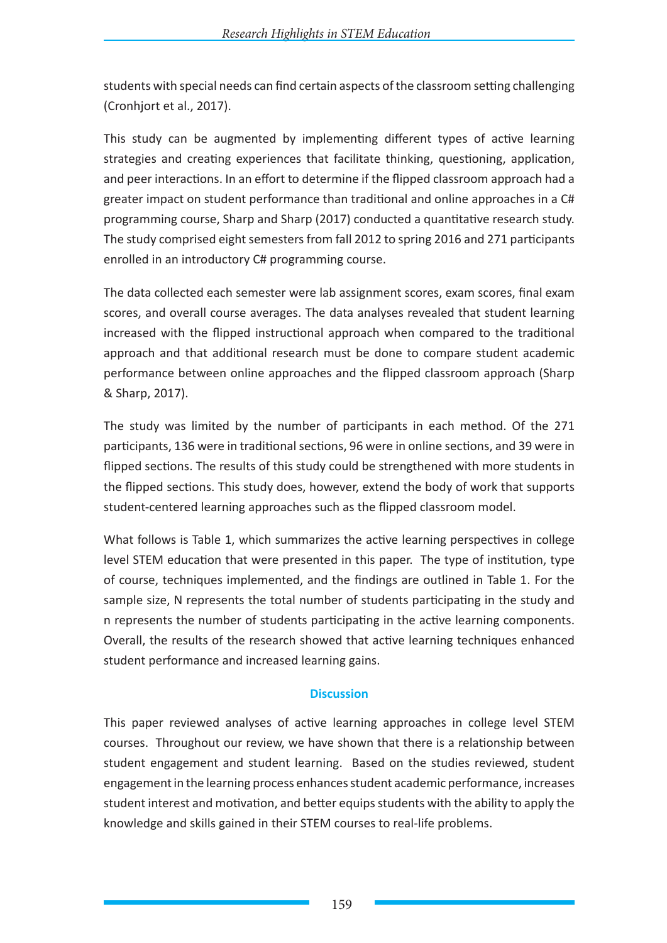students with special needs can find certain aspects of the classroom setting challenging (Cronhjort et al., 2017).

This study can be augmented by implementing different types of active learning strategies and creating experiences that facilitate thinking, questioning, application, and peer interactions. In an effort to determine if the flipped classroom approach had a greater impact on student performance than traditional and online approaches in a C# programming course, Sharp and Sharp (2017) conducted a quantitative research study. The study comprised eight semesters from fall 2012 to spring 2016 and 271 participants enrolled in an introductory C# programming course.

The data collected each semester were lab assignment scores, exam scores, final exam scores, and overall course averages. The data analyses revealed that student learning increased with the flipped instructional approach when compared to the traditional approach and that additional research must be done to compare student academic performance between online approaches and the flipped classroom approach (Sharp & Sharp, 2017).

The study was limited by the number of participants in each method. Of the 271 participants, 136 were in traditional sections, 96 were in online sections, and 39 were in flipped sections. The results of this study could be strengthened with more students in the flipped sections. This study does, however, extend the body of work that supports student-centered learning approaches such as the flipped classroom model.

What follows is Table 1, which summarizes the active learning perspectives in college level STEM education that were presented in this paper. The type of institution, type of course, techniques implemented, and the findings are outlined in Table 1. For the sample size, N represents the total number of students participating in the study and n represents the number of students participating in the active learning components. Overall, the results of the research showed that active learning techniques enhanced student performance and increased learning gains.

### **Discussion**

This paper reviewed analyses of active learning approaches in college level STEM courses. Throughout our review, we have shown that there is a relationship between student engagement and student learning. Based on the studies reviewed, student engagement in the learning process enhances student academic performance, increases student interest and motivation, and better equips students with the ability to apply the knowledge and skills gained in their STEM courses to real-life problems.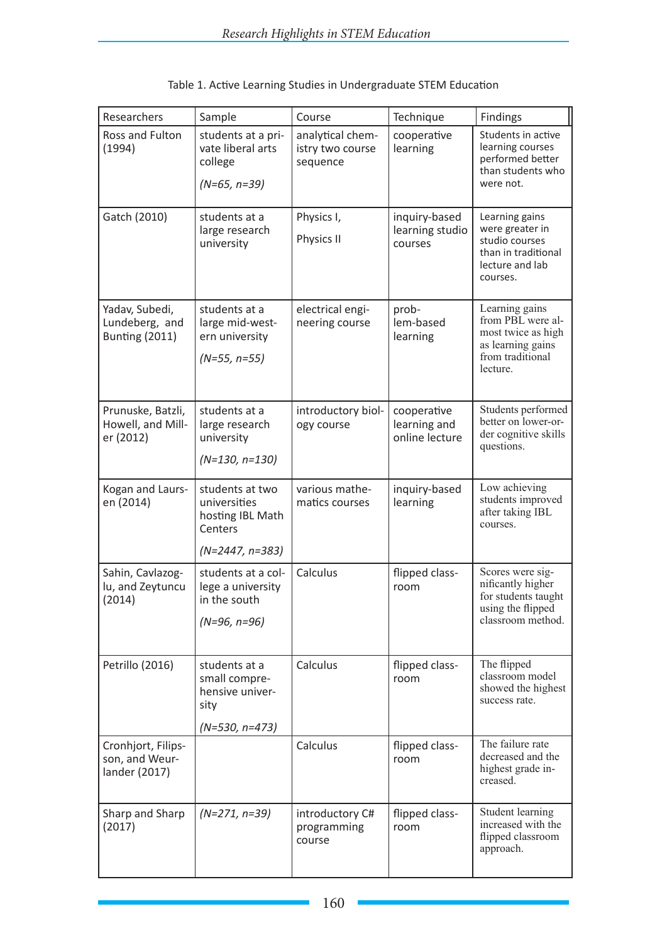| Researchers                                               | Sample                                                                              | Course                                           | Technique                                     | Findings                                                                                                       |
|-----------------------------------------------------------|-------------------------------------------------------------------------------------|--------------------------------------------------|-----------------------------------------------|----------------------------------------------------------------------------------------------------------------|
| Ross and Fulton<br>(1994)                                 | students at a pri-<br>vate liberal arts<br>college<br>$(N=65, n=39)$                | analytical chem-<br>istry two course<br>sequence | cooperative<br>learning                       | Students in active<br>learning courses<br>performed better<br>than students who<br>were not.                   |
| Gatch (2010)                                              | students at a<br>large research<br>university                                       | Physics I,<br>Physics II                         | inquiry-based<br>learning studio<br>courses   | Learning gains<br>were greater in<br>studio courses<br>than in traditional<br>lecture and lab<br>courses.      |
| Yadav, Subedi,<br>Lundeberg, and<br><b>Bunting (2011)</b> | students at a<br>large mid-west-<br>ern university<br>$(N=55, n=55)$                | electrical engi-<br>neering course               | prob-<br>lem-based<br>learning                | Learning gains<br>from PBL were al-<br>most twice as high<br>as learning gains<br>from traditional<br>lecture. |
| Prunuske, Batzli,<br>Howell, and Mill-<br>er (2012)       | students at a<br>large research<br>university<br>$(N=130, n=130)$                   | introductory biol-<br>ogy course                 | cooperative<br>learning and<br>online lecture | Students performed<br>better on lower-or-<br>der cognitive skills<br>questions.                                |
| Kogan and Laurs-<br>en (2014)                             | students at two<br>universities<br>hosting IBL Math<br>Centers<br>$(N=2447, n=383)$ | various mathe-<br>matics courses                 | inquiry-based<br>learning                     | Low achieving<br>students improved<br>after taking IBL<br>courses.                                             |
| Sahin, Cavlazog-<br>lu, and Zeytuncu<br>(2014)            | students at a col-<br>lege a university<br>in the south<br>$(N=96, n=96)$           | Calculus                                         | flipped class-<br>room                        | Scores were sig-<br>nificantly higher<br>for students taught<br>using the flipped<br>classroom method.         |
| Petrillo (2016)                                           | students at a<br>small compre-<br>hensive univer-<br>sity<br>$(N=530, n=473)$       | Calculus                                         | flipped class-<br>room                        | The flipped<br>classroom model<br>showed the highest<br>success rate.                                          |
| Cronhjort, Filips-<br>son, and Weur-<br>lander (2017)     |                                                                                     | Calculus                                         | flipped class-<br>room                        | The failure rate<br>decreased and the<br>highest grade in-<br>creased.                                         |
| Sharp and Sharp<br>(2017)                                 | $(N=271, n=39)$                                                                     | introductory C#<br>programming<br>course         | flipped class-<br>room                        | Student learning<br>increased with the<br>flipped classroom<br>approach.                                       |

## Table 1. Active Learning Studies in Undergraduate STEM Education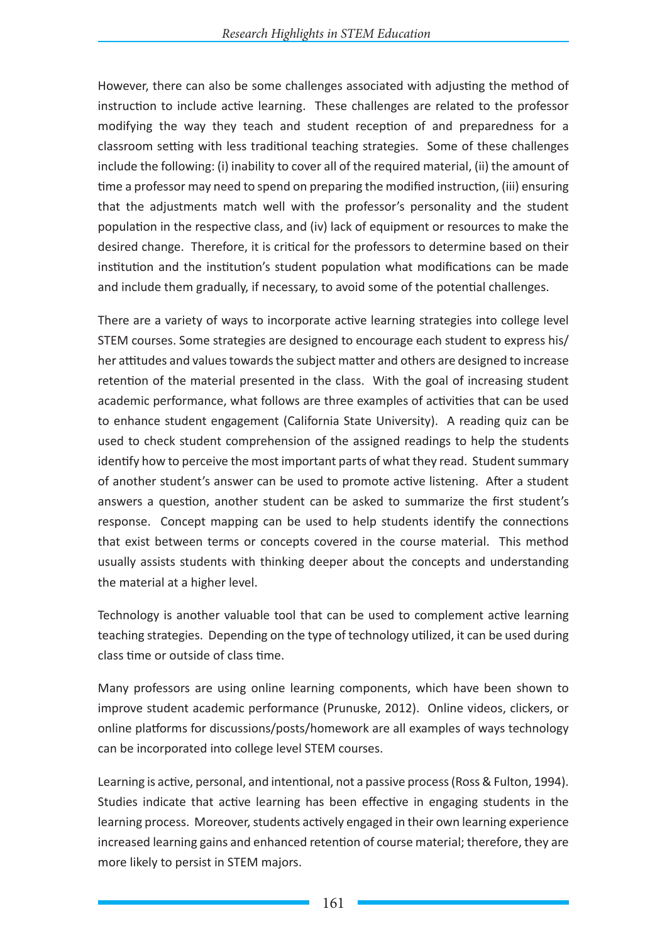However, there can also be some challenges associated with adjusting the method of instruction to include active learning. These challenges are related to the professor modifying the way they teach and student reception of and preparedness for a classroom setting with less traditional teaching strategies. Some of these challenges include the following: (i) inability to cover all of the required material, (ii) the amount of time a professor may need to spend on preparing the modified instruction, (iii) ensuring that the adjustments match well with the professor's personality and the student population in the respective class, and (iv) lack of equipment or resources to make the desired change. Therefore, it is critical for the professors to determine based on their institution and the institution's student population what modifications can be made and include them gradually, if necessary, to avoid some of the potential challenges.

There are a variety of ways to incorporate active learning strategies into college level STEM courses. Some strategies are designed to encourage each student to express his/ her attitudes and values towards the subject matter and others are designed to increase retention of the material presented in the class. With the goal of increasing student academic performance, what follows are three examples of activities that can be used to enhance student engagement (California State University). A reading quiz can be used to check student comprehension of the assigned readings to help the students identify how to perceive the most important parts of what they read. Student summary of another student's answer can be used to promote active listening. After a student answers a question, another student can be asked to summarize the first student's response. Concept mapping can be used to help students identify the connections that exist between terms or concepts covered in the course material. This method usually assists students with thinking deeper about the concepts and understanding the material at a higher level.

Technology is another valuable tool that can be used to complement active learning teaching strategies. Depending on the type of technology utilized, it can be used during class time or outside of class time.

Many professors are using online learning components, which have been shown to improve student academic performance (Prunuske, 2012). Online videos, clickers, or online platforms for discussions/posts/homework are all examples of ways technology can be incorporated into college level STEM courses.

Learning is active, personal, and intentional, not a passive process (Ross & Fulton, 1994). Studies indicate that active learning has been effective in engaging students in the learning process. Moreover, students actively engaged in their own learning experience increased learning gains and enhanced retention of course material; therefore, they are more likely to persist in STEM majors.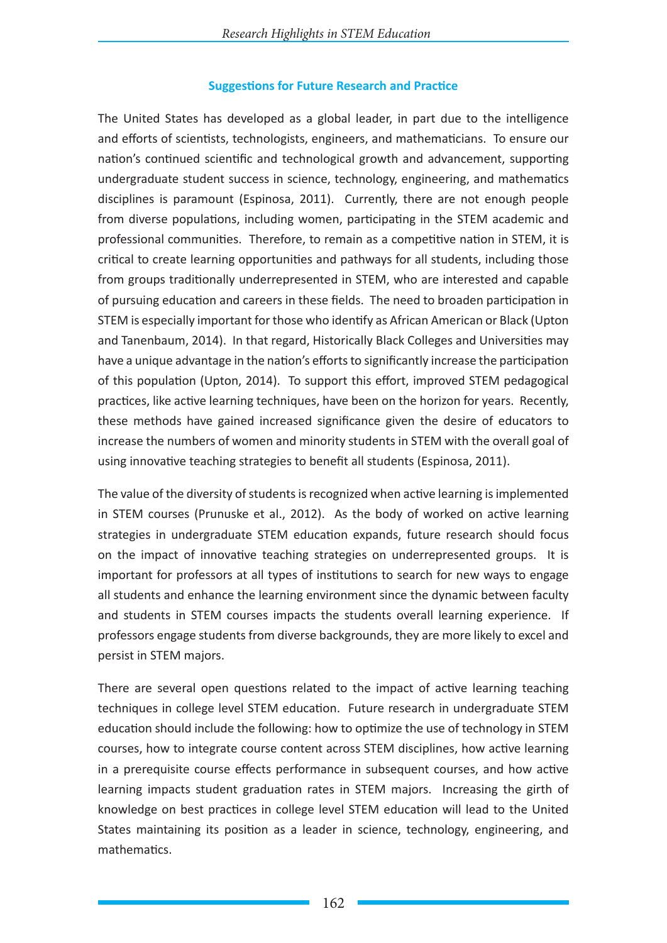#### **Suggestions for Future Research and Practice**

The United States has developed as a global leader, in part due to the intelligence and efforts of scientists, technologists, engineers, and mathematicians. To ensure our nation's continued scientific and technological growth and advancement, supporting undergraduate student success in science, technology, engineering, and mathematics disciplines is paramount (Espinosa, 2011). Currently, there are not enough people from diverse populations, including women, participating in the STEM academic and professional communities. Therefore, to remain as a competitive nation in STEM, it is critical to create learning opportunities and pathways for all students, including those from groups traditionally underrepresented in STEM, who are interested and capable of pursuing education and careers in these fields. The need to broaden participation in STEM is especially important for those who identify as African American or Black (Upton and Tanenbaum, 2014). In that regard, Historically Black Colleges and Universities may have a unique advantage in the nation's efforts to significantly increase the participation of this population (Upton, 2014). To support this effort, improved STEM pedagogical practices, like active learning techniques, have been on the horizon for years. Recently, these methods have gained increased significance given the desire of educators to increase the numbers of women and minority students in STEM with the overall goal of using innovative teaching strategies to benefit all students (Espinosa, 2011).

The value of the diversity of students is recognized when active learning is implemented in STEM courses (Prunuske et al., 2012). As the body of worked on active learning strategies in undergraduate STEM education expands, future research should focus on the impact of innovative teaching strategies on underrepresented groups. It is important for professors at all types of institutions to search for new ways to engage all students and enhance the learning environment since the dynamic between faculty and students in STEM courses impacts the students overall learning experience. If professors engage students from diverse backgrounds, they are more likely to excel and persist in STEM majors.

There are several open questions related to the impact of active learning teaching techniques in college level STEM education. Future research in undergraduate STEM education should include the following: how to optimize the use of technology in STEM courses, how to integrate course content across STEM disciplines, how active learning in a prerequisite course effects performance in subsequent courses, and how active learning impacts student graduation rates in STEM majors. Increasing the girth of knowledge on best practices in college level STEM education will lead to the United States maintaining its position as a leader in science, technology, engineering, and mathematics.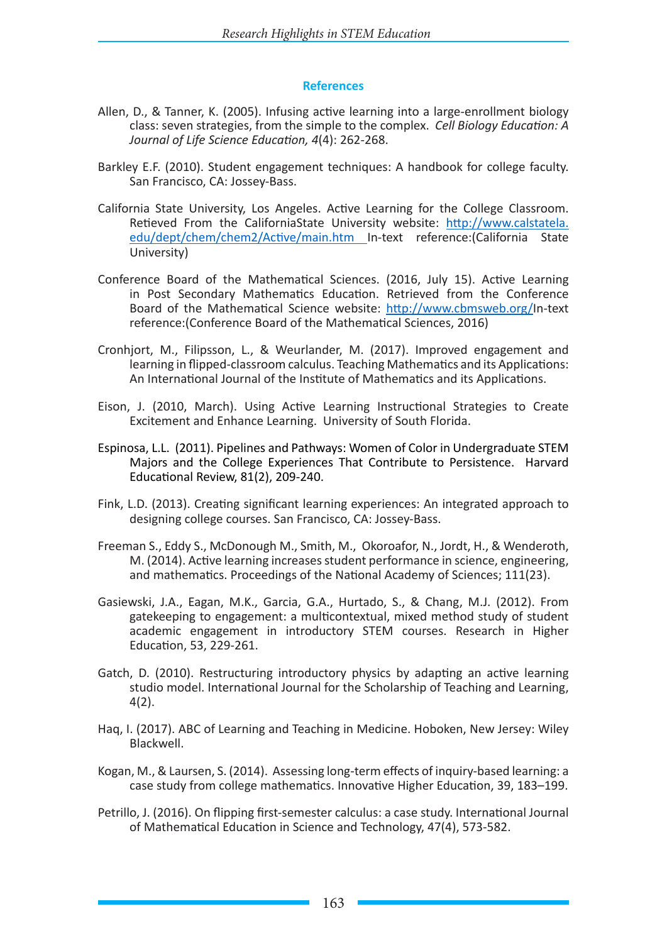#### **References**

- Allen, D., & Tanner, K. (2005). Infusing active learning into a large-enrollment biology class: seven strategies, from the simple to the complex. *Cell Biology Education: A Journal of Life Science Education, 4*(4): 262-268.
- Barkley E.F. (2010). Student engagement techniques: A handbook for college faculty. San Francisco, CA: Jossey-Bass.
- California State University, Los Angeles. Active Learning for the College Classroom. Retieved From the CaliforniaState University website: http://www.calstatela. edu/dept/chem/chem2/Active/main.htm In-text reference:(California State University)
- Conference Board of the Mathematical Sciences. (2016, July 15). Active Learning in Post Secondary Mathematics Education. Retrieved from the Conference Board of the Mathematical Science website: http://www.cbmsweb.org/In-text reference:(Conference Board of the Mathematical Sciences, 2016)
- Cronhjort, M., Filipsson, L., & Weurlander, M. (2017). Improved engagement and learning in flipped-classroom calculus. Teaching Mathematics and its Applications: An International Journal of the Institute of Mathematics and its Applications.
- Eison, J. (2010, March). Using Active Learning Instructional Strategies to Create Excitement and Enhance Learning. University of South Florida.
- Espinosa, L.L. (2011). Pipelines and Pathways: Women of Color in Undergraduate STEM Majors and the College Experiences That Contribute to Persistence. Harvard Educational Review, 81(2), 209-240.
- Fink, L.D. (2013). Creating significant learning experiences: An integrated approach to designing college courses. San Francisco, CA: Jossey-Bass.
- Freeman S., Eddy S., McDonough M., Smith, M., Okoroafor, N., Jordt, H., & Wenderoth, M. (2014). Active learning increases student performance in science, engineering, and mathematics. Proceedings of the National Academy of Sciences; 111(23).
- Gasiewski, J.A., Eagan, M.K., Garcia, G.A., Hurtado, S., & Chang, M.J. (2012). From gatekeeping to engagement: a multicontextual, mixed method study of student academic engagement in introductory STEM courses. Research in Higher Education, 53, 229-261.
- Gatch, D. (2010). Restructuring introductory physics by adapting an active learning studio model. International Journal for the Scholarship of Teaching and Learning, 4(2).
- Haq, I. (2017). ABC of Learning and Teaching in Medicine. Hoboken, New Jersey: Wiley Blackwell.
- Kogan, M., & Laursen, S. (2014). Assessing long-term effects of inquiry-based learning: a case study from college mathematics. Innovative Higher Education, 39, 183–199.
- Petrillo, J. (2016). On flipping first-semester calculus: a case study. International Journal of Mathematical Education in Science and Technology, 47(4), 573-582.